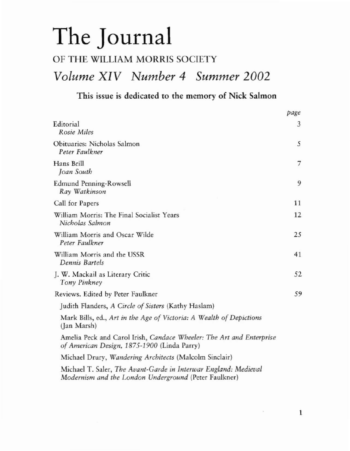# The Journal

## OF THE WILLIAM MORRIS SOCIETY

# *Volume XIV Number* 4 *Summer 2002*

## This issue is dedicated to the memory of Nick Salmon

|                                                                                                                          | page |
|--------------------------------------------------------------------------------------------------------------------------|------|
| Editorial<br>Rosie Miles                                                                                                 | 3    |
| Obituaries: Nicholas Salmon<br>Peter Faulkner                                                                            | 5    |
| Hans Brill<br>Joan South                                                                                                 | 7    |
| <b>Edmund Penning-Rowsell</b><br>Ray Watkinson                                                                           | 9    |
| Call for Papers                                                                                                          | 11   |
| William Morris: The Final Socialist Years<br>Nicholas Salmon                                                             | 12   |
| William Morris and Oscar Wilde<br>Peter Faulkner                                                                         | 25   |
| William Morris and the USSR<br>Dennis Bartels                                                                            | 41   |
| J. W. Mackail as Literary Critic<br>Tony Pinkney                                                                         | 52   |
| Reviews. Edited by Peter Faulkner                                                                                        | 59   |
| Judith Flanders, A Circle of Sisters (Kathy Haslam)                                                                      |      |
| Mark Bills, ed., Art in the Age of Victoria: A Wealth of Depictions<br>(Jan Marsh)                                       |      |
| Amelia Peck and Carol Irish, Candace Wheeler: The Art and Enterprise<br>of American Design, 1875-1900 (Linda Parry)      |      |
| Michael Drury, Wandering Architects (Malcolm Sinclair)                                                                   |      |
| Michael T. Saler, The Avant-Garde in Interwar England: Medieval<br>Modernism and the London Underground (Peter Faulkner) |      |